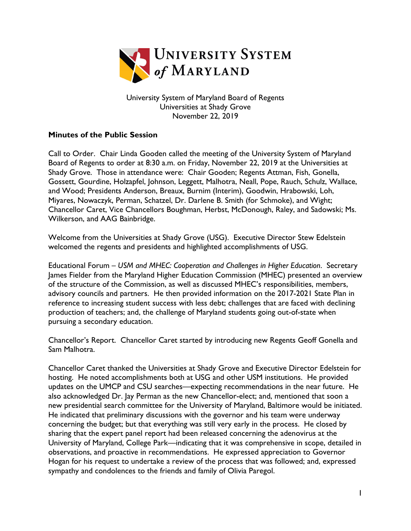

University System of Maryland Board of Regents Universities at Shady Grove November 22, 2019

## **Minutes of the Public Session**

Call to Order. Chair Linda Gooden called the meeting of the University System of Maryland Board of Regents to order at 8:30 a.m. on Friday, November 22, 2019 at the Universities at Shady Grove. Those in attendance were: Chair Gooden; Regents Attman, Fish, Gonella, Gossett, Gourdine, Holzapfel, Johnson, Leggett, Malhotra, Neall, Pope, Rauch, Schulz, Wallace, and Wood; Presidents Anderson, Breaux, Burnim (Interim), Goodwin, Hrabowski, Loh, Miyares, Nowaczyk, Perman, Schatzel, Dr. Darlene B. Smith (for Schmoke), and Wight; Chancellor Caret, Vice Chancellors Boughman, Herbst, McDonough, Raley, and Sadowski; Ms. Wilkerson, and AAG Bainbridge.

Welcome from the Universities at Shady Grove (USG). Executive Director Stew Edelstein welcomed the regents and presidents and highlighted accomplishments of USG.

Educational Forum – *USM and MHEC: Cooperation and Challenges in Higher Education*. Secretary James Fielder from the Maryland Higher Education Commission (MHEC) presented an overview of the structure of the Commission, as well as discussed MHEC's responsibilities, members, advisory councils and partners. He then provided information on the 2017-2021 State Plan in reference to increasing student success with less debt; challenges that are faced with declining production of teachers; and, the challenge of Maryland students going out-of-state when pursuing a secondary education.

Chancellor's Report. Chancellor Caret started by introducing new Regents Geoff Gonella and Sam Malhotra.

Chancellor Caret thanked the Universities at Shady Grove and Executive Director Edelstein for hosting. He noted accomplishments both at USG and other USM institutions. He provided updates on the UMCP and CSU searches—expecting recommendations in the near future. He also acknowledged Dr. Jay Perman as the new Chancellor-elect; and, mentioned that soon a new presidential search committee for the University of Maryland, Baltimore would be initiated. He indicated that preliminary discussions with the governor and his team were underway concerning the budget; but that everything was still very early in the process. He closed by sharing that the expert panel report had been released concerning the adenovirus at the University of Maryland, College Park—indicating that it was comprehensive in scope, detailed in observations, and proactive in recommendations. He expressed appreciation to Governor Hogan for his request to undertake a review of the process that was followed; and, expressed sympathy and condolences to the friends and family of Olivia Paregol.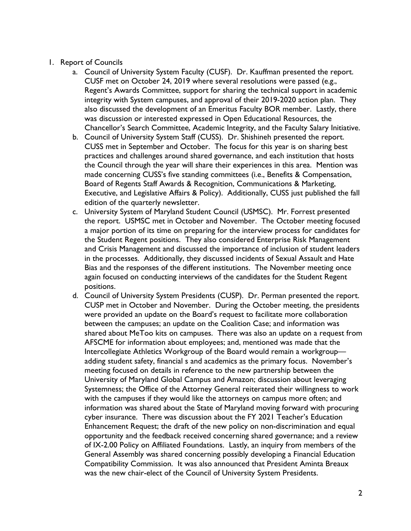- 1. Report of Councils
	- a. Council of University System Faculty (CUSF). Dr. Kauffman presented the report. CUSF met on October 24, 2019 where several resolutions were passed (e.g., Regent's Awards Committee, support for sharing the technical support in academic integrity with System campuses, and approval of their 2019-2020 action plan. They also discussed the development of an Emeritus Faculty BOR member. Lastly, there was discussion or interested expressed in Open Educational Resources, the Chancellor's Search Committee, Academic Integrity, and the Faculty Salary Initiative.
	- b. Council of University System Staff (CUSS). Dr. Shishineh presented the report. CUSS met in September and October. The focus for this year is on sharing best practices and challenges around shared governance, and each institution that hosts the Council through the year will share their experiences in this area. Mention was made concerning CUSS's five standing committees (i.e., Benefits & Compensation, Board of Regents Staff Awards & Recognition, Communications & Marketing, Executive, and Legislative Affairs & Policy). Additionally, CUSS just published the fall edition of the quarterly newsletter.
	- c. University System of Maryland Student Council (USMSC). Mr. Forrest presented the report. USMSC met in October and November. The October meeting focused a major portion of its time on preparing for the interview process for candidates for the Student Regent positions. They also considered Enterprise Risk Management and Crisis Management and discussed the importance of inclusion of student leaders in the processes. Additionally, they discussed incidents of Sexual Assault and Hate Bias and the responses of the different institutions. The November meeting once again focused on conducting interviews of the candidates for the Student Regent positions.
	- d. Council of University System Presidents (CUSP). Dr. Perman presented the report. CUSP met in October and November. During the October meeting, the presidents were provided an update on the Board's request to facilitate more collaboration between the campuses; an update on the Coalition Case; and information was shared about MeToo kits on campuses. There was also an update on a request from AFSCME for information about employees; and, mentioned was made that the Intercollegiate Athletics Workgroup of the Board would remain a workgroup adding student safety, financial s and academics as the primary focus. November's meeting focused on details in reference to the new partnership between the University of Maryland Global Campus and Amazon; discussion about leveraging Systemness; the Office of the Attorney General reiterated their willingness to work with the campuses if they would like the attorneys on campus more often; and information was shared about the State of Maryland moving forward with procuring cyber insurance. There was discussion about the FY 2021 Teacher's Education Enhancement Request; the draft of the new policy on non-discrimination and equal opportunity and the feedback received concerning shared governance; and a review of IX-2.00 Policy on Affiliated Foundations. Lastly, an inquiry from members of the General Assembly was shared concerning possibly developing a Financial Education Compatibility Commission. It was also announced that President Aminta Breaux was the new chair-elect of the Council of University System Presidents.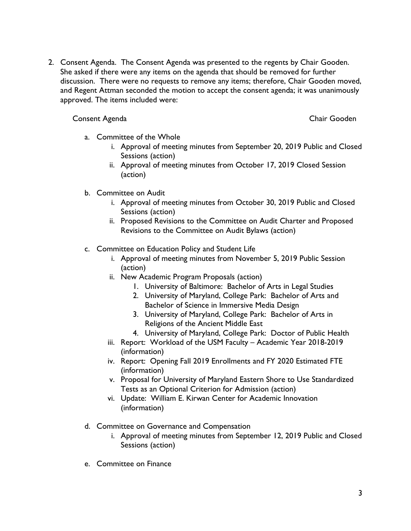2. Consent Agenda. The Consent Agenda was presented to the regents by Chair Gooden. She asked if there were any items on the agenda that should be removed for further discussion. There were no requests to remove any items; therefore, Chair Gooden moved, and Regent Attman seconded the motion to accept the consent agenda; it was unanimously approved. The items included were:

## Consent Agenda Chair Gooden

- a. Committee of the Whole
	- i. Approval of meeting minutes from September 20, 2019 Public and Closed Sessions (action)
	- ii. Approval of meeting minutes from October 17, 2019 Closed Session (action)
- b. Committee on Audit
	- i. Approval of meeting minutes from October 30, 2019 Public and Closed Sessions (action)
	- ii. Proposed Revisions to the Committee on Audit Charter and Proposed Revisions to the Committee on Audit Bylaws (action)
- c. Committee on Education Policy and Student Life
	- i. Approval of meeting minutes from November 5, 2019 Public Session (action)
	- ii. New Academic Program Proposals (action)
		- 1. University of Baltimore: Bachelor of Arts in Legal Studies
		- 2. University of Maryland, College Park: Bachelor of Arts and Bachelor of Science in Immersive Media Design
		- 3. University of Maryland, College Park: Bachelor of Arts in Religions of the Ancient Middle East
		- 4. University of Maryland, College Park: Doctor of Public Health
	- iii. Report: Workload of the USM Faculty Academic Year 2018-2019 (information)
	- iv. Report: Opening Fall 2019 Enrollments and FY 2020 Estimated FTE (information)
	- v. Proposal for University of Maryland Eastern Shore to Use Standardized Tests as an Optional Criterion for Admission (action)
	- vi. Update: William E. Kirwan Center for Academic Innovation (information)
- d. Committee on Governance and Compensation
	- i. Approval of meeting minutes from September 12, 2019 Public and Closed Sessions (action)
- e. Committee on Finance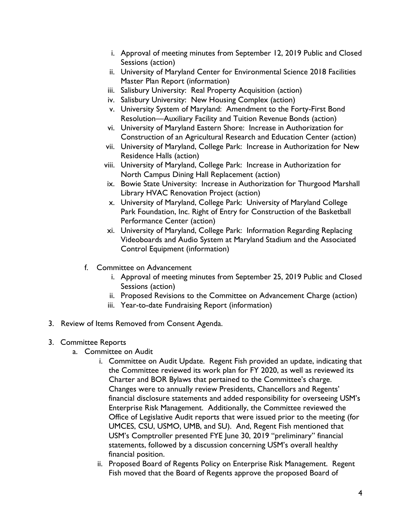- i. Approval of meeting minutes from September 12, 2019 Public and Closed Sessions (action)
- ii. University of Maryland Center for Environmental Science 2018 Facilities Master Plan Report (information)
- iii. Salisbury University: Real Property Acquisition (action)
- iv. Salisbury University: New Housing Complex (action)
- v. University System of Maryland: Amendment to the Forty-First Bond Resolution—Auxiliary Facility and Tuition Revenue Bonds (action)
- vi. University of Maryland Eastern Shore: Increase in Authorization for Construction of an Agricultural Research and Education Center (action)
- vii. University of Maryland, College Park: Increase in Authorization for New Residence Halls (action)
- viii. University of Maryland, College Park: Increase in Authorization for North Campus Dining Hall Replacement (action)
- ix. Bowie State University: Increase in Authorization for Thurgood Marshall Library HVAC Renovation Project (action)
- x. University of Maryland, College Park: University of Maryland College Park Foundation, Inc. Right of Entry for Construction of the Basketball Performance Center (action)
- xi. University of Maryland, College Park: Information Regarding Replacing Videoboards and Audio System at Maryland Stadium and the Associated Control Equipment (information)
- f. Committee on Advancement
	- i. Approval of meeting minutes from September 25, 2019 Public and Closed Sessions (action)
	- ii. Proposed Revisions to the Committee on Advancement Charge (action)
	- iii. Year-to-date Fundraising Report (information)
- 3. Review of Items Removed from Consent Agenda.

## 3. Committee Reports

- a. Committee on Audit
	- i. Committee on Audit Update. Regent Fish provided an update, indicating that the Committee reviewed its work plan for FY 2020, as well as reviewed its Charter and BOR Bylaws that pertained to the Committee's charge. Changes were to annually review Presidents, Chancellors and Regents' financial disclosure statements and added responsibility for overseeing USM's Enterprise Risk Management. Additionally, the Committee reviewed the Office of Legislative Audit reports that were issued prior to the meeting (for UMCES, CSU, USMO, UMB, and SU). And, Regent Fish mentioned that USM's Comptroller presented FYE June 30, 2019 "preliminary" financial statements, followed by a discussion concerning USM's overall healthy financial position.
	- ii. Proposed Board of Regents Policy on Enterprise Risk Management. Regent Fish moved that the Board of Regents approve the proposed Board of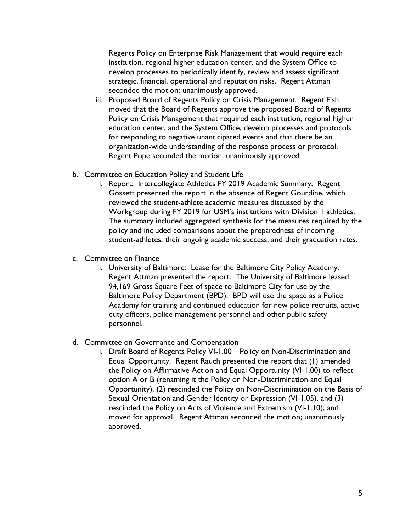Regents Policy on Enterprise Risk Management that would require each institution, regional higher education center, and the System Office to develop processes to periodically identify, review and assess significant strategic, financial, operational and reputation risks. Regent Attman seconded the motion; unanimously approved.

- iii. Proposed Board of Regents Policy on Crisis Management. Regent Fish moved that the Board of Regents approve the proposed Board of Regents Policy on Crisis Management that required each institution, regional higher education center, and the System Office, develop processes and protocols for responding to negative unanticipated events and that there be an organization-wide understanding of the response process or protocol. Regent Pope seconded the motion; unanimously approved.
- b. Committee on Education Policy and Student Life
	- i. Report: Intercollegiate Athletics FY 2019 Academic Summary. Regent Gossett presented the report in the absence of Regent Gourdine, which reviewed the student-athlete academic measures discussed by the Workgroup during FY 2019 for USM's institutions with Division 1 athletics. The summary included aggregated synthesis for the measures required by the policy and included comparisons about the preparedness of incoming student-athletes, their ongoing academic success, and their graduation rates.
- c. Committee on Finance
	- i. University of Baltimore: Lease for the Baltimore City Policy Academy. Regent Attman presented the report. The University of Baltimore leased 94,169 Gross Square Feet of space to Baltimore City for use by the Baltimore Policy Department (BPD). BPD will use the space as a Police Academy for training and continued education for new police recruits, active duty officers, police management personnel and other public safety personnel.
- d. Committee on Governance and Compensation
	- i. Draft Board of Regents Policy VI-1.00—Policy on Non-Discrimination and Equal Opportunity. Regent Rauch presented the report that (1) amended the Policy on Affirmative Action and Equal Opportunity (VI-1.00) to reflect option A or B (renaming it the Policy on Non-Discrimination and Equal Opportunity), (2) rescinded the Policy on Non-Discrimination on the Basis of Sexual Orientation and Gender Identity or Expression (VI-1.05), and (3) rescinded the Policy on Acts of Violence and Extremism (VI-1.10); and moved for approval. Regent Attman seconded the motion; unanimously approved.